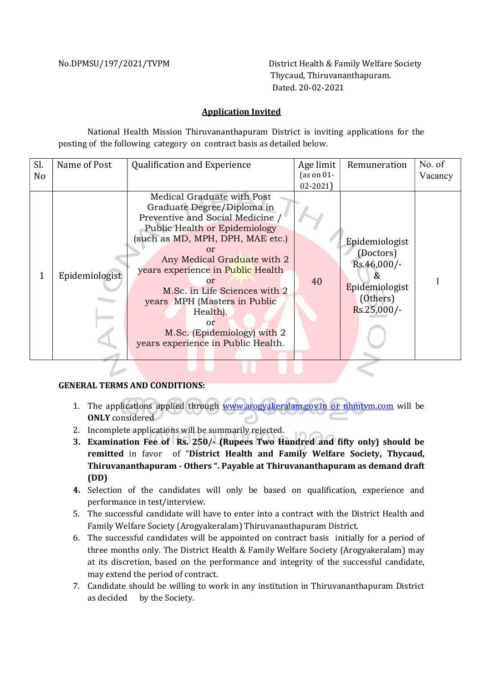No.DPMSU/197/2021/TVPM District Health & Family Welfare Society Thycaud, Thiruvananthapuram. Dated. 20-02-2021

## Application Invited

National Health Mission Thiruvananthapuram District is inviting applications for the posting of the following category on contract basis as detailed below.

| Sl. | Name of Post   | <b>Qualification and Experience</b>                                                                                                                                                                                                                                                                                                                                                                              | Age limit     | Remuneration                                                                                    | No. of  |
|-----|----------------|------------------------------------------------------------------------------------------------------------------------------------------------------------------------------------------------------------------------------------------------------------------------------------------------------------------------------------------------------------------------------------------------------------------|---------------|-------------------------------------------------------------------------------------------------|---------|
| No  |                |                                                                                                                                                                                                                                                                                                                                                                                                                  | (as on $01$ - |                                                                                                 | Vacancy |
|     |                |                                                                                                                                                                                                                                                                                                                                                                                                                  | $02 - 2021$   |                                                                                                 |         |
|     | Epidemiologist | Medical Graduate with Post<br>Graduate Degree/Diploma in<br>Preventive and Social Medicine /<br><b>Public Health or Epidemiology</b><br>(such as MD, MPH, DPH, MAE etc.)<br>or<br>Any Medical Graduate with 2<br>years experience in Public Health<br>or<br>M.Sc. in Life Sciences with 2<br>years MPH (Masters in Public<br>Health).<br>or<br>M.Sc. (Epidemiology) with 2<br>years experience in Public Health. | 40            | Epidemiologist<br>(Doctors)<br>Rs.46,000/-<br>X,<br>Epidemiologist<br>(Others)<br>$Rs.25,000/-$ |         |

## GENERAL TERMS AND CONDITIONS:

- 1. The applications applied through www.arogyakeralam.gov.in or nhmtvm.com will be ONLY considered
- 2. Incomplete applications will be summarily rejected.
- 3. Examination Fee of Rs. 250/- (Rupees Two Hundred and fifty only) should be remitted in favor of "District Health and Family Welfare Society, Thycaud, Thiruvananthapuram - Others ". Payable at Thiruvananthapuram as demand draft (DD)
- 4. Selection of the candidates will only be based on qualification, experience and performance in test/interview.
- 5. The successful candidate will have to enter into a contract with the District Health and Family Welfare Society (Arogyakeralam) Thiruvananthapuram District.
- 6. The successful candidates will be appointed on contract basis initially for a period of three months only. The District Health & Family Welfare Society (Arogyakeralam) may at its discretion, based on the performance and integrity of the successful candidate, may extend the period of contract.
- 7. Candidate should be willing to work in any institution in Thiruvananthapuram District as decided by the Society.